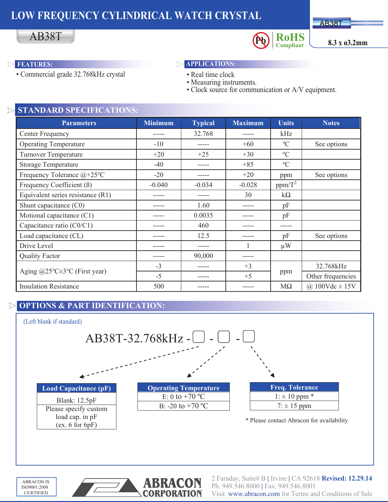# **LOW FREQUENCY CYLINDRICAL WATCH CRYSTAL**

## AB38T



**AB38T** 

• Commercial grade 32.768kHz crystal • Real time clock

#### **FEATURES: APPLICATIONS:**

- 
- Measuring instruments.
- Clock source for communication or A/V equipment.

### **STANDARD SPECIFICATIONS:**

| <b>Parameters</b>                                | <b>Minimum</b> | <b>Typical</b> | <b>Maximum</b> | <b>Units</b> | <b>Notes</b>         |
|--------------------------------------------------|----------------|----------------|----------------|--------------|----------------------|
| Center Frequency                                 | -----          | 32.768         | -----          | kHz          |                      |
| <b>Operating Temperature</b>                     | $-10$          | -----          | $+60$          | $\rm ^{o}C$  | See options          |
| <b>Turnover Temperature</b>                      | $+20$          | $+25$          | $+30$          | $\rm ^{o}C$  |                      |
| <b>Storage Temperature</b>                       | $-40$          | -----          | $+85$          | $\rm ^{o}C$  |                      |
| Frequency Tolerance $(a+25^{\circ}\text{C})$     | $-20$          | -----          | $+20$          | ppm          | See options          |
| Frequency Coefficient (B)                        | $-0.040$       | $-0.034$       | $-0.028$       | $ppm/T^2$    |                      |
| Equivalent series resistance (R1)                | -----          | -----          | 30             | $k\Omega$    |                      |
| Shunt capacitance (C0)                           | -----          | 1.60           | -----          | pF           |                      |
| Motional capacitance (C1)                        |                | 0.0035         | -----          | pF           |                      |
| Capacitance ratio (C0/C1)                        | -----          | 460            | -----          | -----        |                      |
| Load capacitance (CL)                            |                | 12.5           | -----          | pF           | See options          |
| Drive Level                                      | -----          | -----          |                | $\mu$ W      |                      |
| <b>Quality Factor</b>                            | -----          | 90,000         | -----          |              |                      |
| Aging $@25^{\circ}C \pm 3^{\circ}C$ (First year) | $-3$           | -----          | $+3$           | ppm          | 32.768kHz            |
|                                                  | $-5$           | -----          | $+5$           |              | Other frequencies    |
| <b>Insulation Resistance</b>                     | 500            | -----          | -----          | $M\Omega$    | (a) $100Vdc \pm 15V$ |

#### **OPTIONS & PART IDENTIFICATION:**  $\triangleright$





2 Faraday, Suite# B **|** Irvine **|** CA 92618 **Revised: 12.29.14** Ph. 949.546.8000 **|** Fax. 949.546.8001 Visit www.abracon.com for Terms and Conditions of Sale